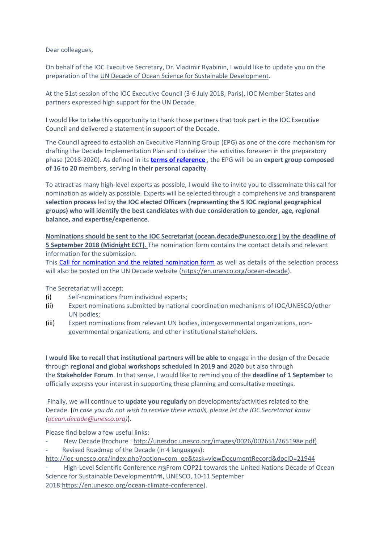Dear colleagues,

On behalf of the IOC Executive Secretary, Dr. Vladimir Ryabinin, I would like to update you on the preparation of the UN Decade of Ocean Science for Sustainable Development.

At the 51st session of the IOC Executive Council (3-6 July 2018, Paris), IOC Member States and partners expressed high support for the UN Decade.

I would like to take this opportunity to thank those partners that took part in the IOC Executive Council and delivered a statement in support of the Decade.

The Council agreed to establish an Executive Planning Group (EPG) as one of the core mechanism for drafting the Decade Implementation Plan and to deliver the activities foreseen in the preparatory phase (2018-2020). As defined in its **terms [of reference](http://www.isprs.org/news/newsletter/2018-03/45_EPG_ToRs.pdf)** , the EPG will be an **expert group composed of 16 to 20** members, serving **in their personal capacity**.

To attract as many high-level experts as possible, I would like to invite you to disseminate this call for nomination as widely as possible. Experts will be selected through a comprehensive and **transparent selection process** led by **the IOC elected Officers (representing the 5 IOC regional geographical groups) who will identify the best candidates with due consideration to gender, age, regional balance, and expertise/experience**.

**Nominations should be sent to the IOC Secretariat [\(ocean.decade@unesco.org](mailto:ocean.decade@unesco.org) ) by the deadline of 5 September 2018 (Midnight ECT)**. The nomination form contains the contact details and relevant information for the submission.

This [Call for nomination and the related nomination form](http://www.isprs.org/news/newsletter/2018-03/45_Nomination_Form.pdf) as well as details of the selection process will also be posted on the UN Decade website [\(https://en.unesco.org/ocean-decade\)](https://en.unesco.org/ocean-decade).

The Secretariat will accept:

- (i) Self-nominations from individual experts;
- (ii) Expert nominations submitted by national coordination mechanisms of IOC/UNESCO/other UN bodies;
- (iii) Expert nominations from relevant UN bodies, intergovernmental organizations, nongovernmental organizations, and other institutional stakeholders.

**I would like to recall that institutional partners will be able to** engage in the design of the Decade through **regional and global workshops scheduled in 2019 and 2020** but also through the **Stakeholder Forum**. In that sense, I would like to remind you of the **deadline of 1 September** to officially express your interest in supporting these planning and consultative meetings.

Finally, we will continue to **update you regularly** on developments/activities related to the Decade. (*In case you do not wish to receive these emails, please let the IOC Secretariat know [\(ocean.decade@unesco.org\)](mailto:ocean.decade@unesco.org)*).

Please find below a few useful links:

- New Decade Brochure : [http://unesdoc.unesco.org/images/0026/002651/265198e.pdf\)](http://unesdoc.unesco.org/images/0026/002651/265198e.pdf%29)
- Revised Roadmap of the Decade (in 4 languages):

[http://ioc-unesco.org/index.php?option=com\\_oe&task=viewDocumentRecord&docID=21944](http://ioc-unesco.org/index.php?option=com_oe&task=viewDocumentRecord&docID=21944)

- High-Level Scientific Conference กฐFrom COP21 towards the United Nations Decade of Ocean Science for Sustainable Developmentกฑ, UNESCO, 10-11 September 2018[:https://en.unesco.org/ocean-climate-conference\)](https://en.unesco.org/ocean-climate-conference).